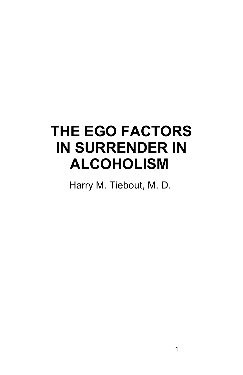# **THE EGO FACTORS IN SURRENDER IN ALCOHOLISM**

Harry M. Tiebout, M. D.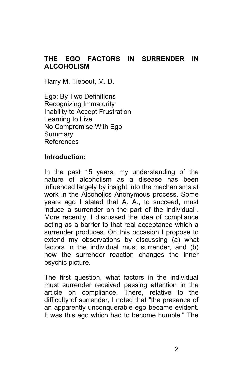# **THE EGO FACTORS IN SURRENDER IN ALCOHOLISM**

Harry M. Tiebout, M. D.

Ego: By Two Definitions Recognizing Immaturity Inability to Accept Frustration Learning to Live No Compromise With Ego Summary References

#### **Introduction:**

In the past 15 years, my understanding of the nature of alcoholism as a disease has been influenced largely by insight into the mechanisms at work in the Alcoholics Anonymous process. Some years ago I stated that A. A., to succeed, must induce a surrender on the part of the individual<sup>1</sup>. More recently, I discussed the idea of compliance acting as a barrier to that real acceptance which a surrender produces. On this occasion I propose to extend my observations by discussing (a) what factors in the individual must surrender, and (b) how the surrender reaction changes the inner psychic picture.

The first question, what factors in the individual must surrender received passing attention in the article on compliance. There, relative to the difficulty of surrender, I noted that "the presence of an apparently unconquerable ego became evident. It was this ego which had to become humble." The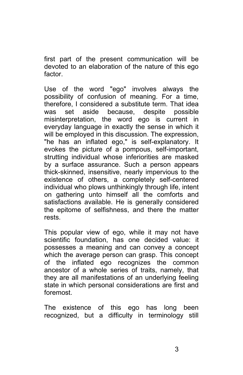first part of the present communication will be devoted to an elaboration of the nature of this ego factor.

Use of the word "ego" involves always the possibility of confusion of meaning. For a time, therefore, I considered a substitute term. That idea was set aside because, despite possible misinterpretation, the word ego is current in everyday language in exactly the sense in which it will be employed in this discussion. The expression, "he has an inflated ego," is self-explanatory. It evokes the picture of a pompous, self-important, strutting individual whose inferiorities are masked by a surface assurance. Such a person appears thick-skinned, insensitive, nearly impervious to the existence of others, a completely self-centered individual who plows unthinkingly through life, intent on gathering unto himself all the comforts and satisfactions available. He is generally considered the epitome of selfishness, and there the matter rests.

This popular view of ego, while it may not have scientific foundation, has one decided value: it possesses a meaning and can convey a concept which the average person can grasp. This concept of the inflated ego recognizes the common ancestor of a whole series of traits, namely, that they are all manifestations of an underlying feeling state in which personal considerations are first and foremost.

The existence of this ego has long been recognized, but a difficulty in terminology still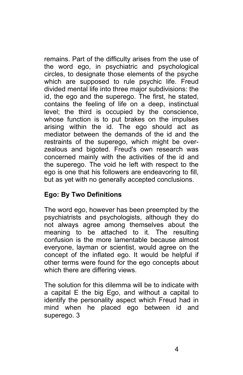remains. Part of the difficulty arises from the use of the word ego, in psychiatric and psychological circles, to designate those elements of the psyche which are supposed to rule psychic life. Freud divided mental life into three major subdivisions: the id, the ego and the superego. The first, he stated, contains the feeling of life on a deep, instinctual level; the third is occupied by the conscience, whose function is to put brakes on the impulses arising within the id. The ego should act as mediator between the demands of the id and the restraints of the superego, which might be overzealous and bigoted. Freud's own research was concerned mainly with the activities of the id and the superego. The void he left with respect to the ego is one that his followers are endeavoring to fill, but as yet with no generally accepted conclusions.

## **Ego: By Two Definitions**

The word ego, however has been preempted by the psychiatrists and psychologists, although they do not always agree among themselves about the meaning to be attached to it. The resulting confusion is the more lamentable because almost everyone, layman or scientist, would agree on the concept of the inflated ego. It would be helpful if other terms were found for the ego concepts about which there are differing views.

The solution for this dilemma will be to indicate with a capital E the big Ego, and without a capital to identify the personality aspect which Freud had in mind when he placed ego between id and superego. 3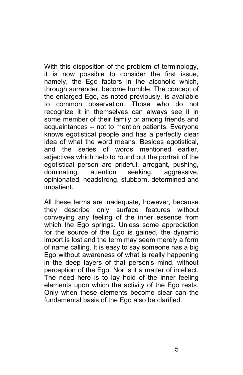With this disposition of the problem of terminology, it is now possible to consider the first issue, namely, the Ego factors in the alcoholic which, through surrender, become humble. The concept of the enlarged Ego, as noted previously, is available to common observation. Those who do not recognize it in themselves can always see it in some member of their family or among friends and acquaintances -- not to mention patients. Everyone knows egotistical people and has a perfectly clear idea of what the word means. Besides egotistical, and the series of words mentioned earlier, adjectives which help to round out the portrait of the egotistical person are prideful, arrogant, pushing, dominating, attention seeking, aggressive, opinionated, headstrong, stubborn, determined and impatient.

All these terms are inadequate, however, because they describe only surface features without conveying any feeling of the inner essence from which the Ego springs. Unless some appreciation for the source of the Ego is gained, the dynamic import is lost and the term may seem merely a form of name calling. It is easy to say someone has a big Ego without awareness of what is really happening in the deep layers of that person's mind, without perception of the Ego. Nor is it a matter of intellect. The need here is to lay hold of the inner feeling elements upon which the activity of the Ego rests. Only when these elements become clear can the fundamental basis of the Ego also be clarified.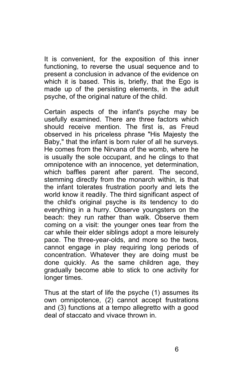It is convenient, for the exposition of this inner functioning, to reverse the usual sequence and to present a conclusion in advance of the evidence on which it is based. This is, briefly, that the Ego is made up of the persisting elements, in the adult psyche, of the original nature of the child.

Certain aspects of the infant's psyche may be usefully examined. There are three factors which should receive mention. The first is, as Freud observed in his priceless phrase "His Majesty the Baby," that the infant is born ruler of all he surveys. He comes from the Nirvana of the womb, where he is usually the sole occupant, and he clings to that omnipotence with an innocence, yet determination, which baffles parent after parent. The second, stemming directly from the monarch within, is that the infant tolerates frustration poorly and lets the world know it readily. The third significant aspect of the child's original psyche is its tendency to do everything in a hurry. Observe youngsters on the beach: they run rather than walk. Observe them coming on a visit: the younger ones tear from the car while their elder siblings adopt a more leisurely pace. The three-year-olds, and more so the twos, cannot engage in play requiring long periods of concentration. Whatever they are doing must be done quickly. As the same children age, they gradually become able to stick to one activity for longer times.

Thus at the start of life the psyche (1) assumes its own omnipotence, (2) cannot accept frustrations and (3) functions at a tempo allegretto with a good deal of staccato and vivace thrown in.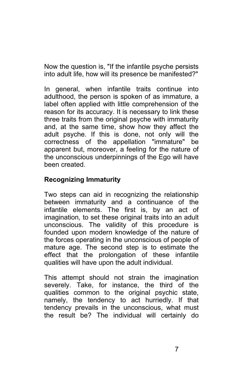Now the question is, "If the infantile psyche persists into adult life, how will its presence be manifested?"

In general, when infantile traits continue into adulthood, the person is spoken of as immature, a label often applied with little comprehension of the reason for its accuracy. It is necessary to link these three traits from the original psyche with immaturity and, at the same time, show how they affect the adult psyche. If this is done, not only will the correctness of the appellation "immature" be apparent but, moreover, a feeling for the nature of the unconscious underpinnings of the Ego will have been created.

## **Recognizing Immaturity**

Two steps can aid in recognizing the relationship between immaturity and a continuance of the infantile elements. The first is, by an act of imagination, to set these original traits into an adult unconscious. The validity of this procedure is founded upon modern knowledge of the nature of the forces operating in the unconscious of people of mature age. The second step is to estimate the effect that the prolongation of these infantile qualities will have upon the adult individual.

This attempt should not strain the imagination severely. Take, for instance, the third of the qualities common to the original psychic state, namely, the tendency to act hurriedly. If that tendency prevails in the unconscious, what must the result be? The individual will certainly do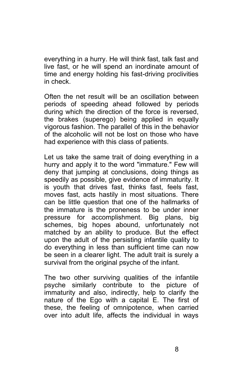everything in a hurry. He will think fast, talk fast and live fast, or he will spend an inordinate amount of time and energy holding his fast-driving proclivities in check.

Often the net result will be an oscillation between periods of speeding ahead followed by periods during which the direction of the force is reversed, the brakes (superego) being applied in equally vigorous fashion. The parallel of this in the behavior of the alcoholic will not be lost on those who have had experience with this class of patients.

Let us take the same trait of doing everything in a hurry and apply it to the word "immature." Few will deny that jumping at conclusions, doing things as speedily as possible, give evidence of immaturity. It is youth that drives fast, thinks fast, feels fast, moves fast, acts hastily in most situations. There can be little question that one of the hallmarks of the immature is the proneness to be under inner pressure for accomplishment. Big plans, big schemes, big hopes abound, unfortunately not matched by an ability to produce. But the effect upon the adult of the persisting infantile quality to do everything in less than sufficient time can now be seen in a clearer light. The adult trait is surely a survival from the original psyche of the infant.

The two other surviving qualities of the infantile psyche similarly contribute to the picture of immaturity and also, indirectly, help to clarify the nature of the Ego with a capital E. The first of these, the feeling of omnipotence, when carried over into adult life, affects the individual in ways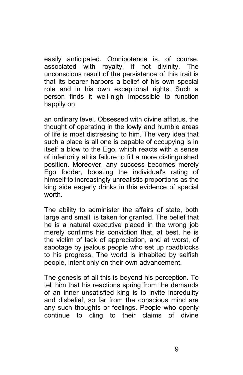easily anticipated. Omnipotence is, of course, associated with royalty, if not divinity. The unconscious result of the persistence of this trait is that its bearer harbors a belief of his own special role and in his own exceptional rights. Such a person finds it well-nigh impossible to function happily on

an ordinary level. Obsessed with divine afflatus, the thought of operating in the lowly and humble areas of life is most distressing to him. The very idea that such a place is all one is capable of occupying is in itself a blow to the Ego, which reacts with a sense of inferiority at its failure to fill a more distinguished position. Moreover, any success becomes merely Ego fodder, boosting the individual's rating of himself to increasingly unrealistic proportions as the king side eagerly drinks in this evidence of special worth.

The ability to administer the affairs of state, both large and small, is taken for granted. The belief that he is a natural executive placed in the wrong job merely confirms his conviction that, at best, he is the victim of lack of appreciation, and at worst, of sabotage by jealous people who set up roadblocks to his progress. The world is inhabited by selfish people, intent only on their own advancement.

The genesis of all this is beyond his perception. To tell him that his reactions spring from the demands of an inner unsatisfied king is to invite incredulity and disbelief, so far from the conscious mind are any such thoughts or feelings. People who openly continue to cling to their claims of divine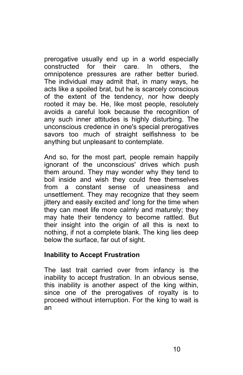prerogative usually end up in a world especially constructed for their care. In others, the omnipotence pressures are rather better buried. The individual may admit that, in many ways, he acts like a spoiled brat, but he is scarcely conscious of the extent of the tendency, nor how deeply rooted it may be. He, like most people, resolutely avoids a careful look because the recognition of any such inner attitudes is highly disturbing. The unconscious credence in one's special prerogatives savors too much of straight selfishness to be anything but unpleasant to contemplate.

And so, for the most part, people remain happily ignorant of the unconscious' drives which push them around. They may wonder why they tend to boil inside and wish they could free themselves from a constant sense of uneasiness and unsettlement. They may recognize that they seem jittery and easily excited and' long for the time when they can meet life more calmly and maturely; they may hate their tendency to become rattled. But their insight into the origin of all this is next to nothing, if not a complete blank. The king lies deep below the surface, far out of sight.

#### **Inability to Accept Frustration**

The last trait carried over from infancy is the inability to accept frustration. In an obvious sense, this inability is another aspect of the king within, since one of the prerogatives of royalty is to proceed without interruption. For the king to wait is an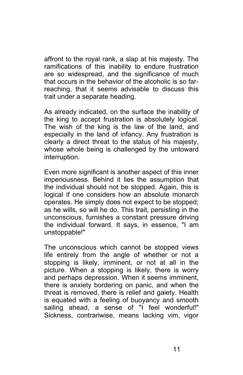affront to the royal rank, a slap at his majesty. The ramifications of this inability to endure frustration are so widespread, and the significance of much that occurs in the behavior of the alcoholic is so farreaching, that it seems advisable to discuss this trait under a separate heading.

As already indicated, on the surface the inability of the king to accept frustration is absolutely logical. The wish of the king is the law of the land, and especially in the land of infancy. Any frustration is clearly a direct threat to the status of his majesty, whose whole being is challenged by the untoward interruption.

Even more significant is another aspect of this inner imperiousness. Behind it lies the assumption that the individual should not be stopped. Again, this is logical if one considers how an absolute monarch operates. He simply does not expect to be stopped; as he wills, so will he do. This trait, persisting in the unconscious, furnishes a constant pressure driving the individual forward. It says, in essence, "I am unstoppable!"

The unconscious which cannot be stopped views life entirely from the angle of whether or not a stopping is likely, imminent, or not at all in the picture. When a stopping is likely, there is worry and perhaps depression. When it seems imminent, there is anxiety bordering on panic, and when the threat is removed, there is relief and gaiety. Health is equated with a feeling of buoyancy and smooth sailing ahead, a sense of "I feel wonderful!" Sickness, contrariwise, means lacking vim, vigor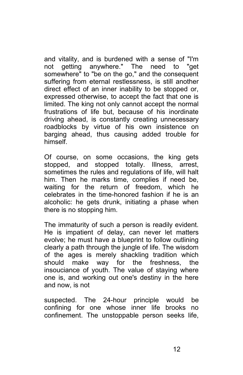and vitality, and is burdened with a sense of "I'm not getting anywhere." The need to "get somewhere" to "be on the go," and the consequent suffering from eternal restlessness, is still another direct effect of an inner inability to be stopped or, expressed otherwise, to accept the fact that one is limited. The king not only cannot accept the normal frustrations of life but, because of his inordinate driving ahead, is constantly creating unnecessary roadblocks by virtue of his own insistence on barging ahead, thus causing added trouble for himself.

Of course, on some occasions, the king gets stopped, and stopped totally. Illness, arrest, sometimes the rules and regulations of life, will halt him. Then he marks time, complies if need be, waiting for the return of freedom, which he celebrates in the time-honored fashion if he is an alcoholic: he gets drunk, initiating a phase when there is no stopping him.

The immaturity of such a person is readily evident. He is impatient of delay, can never let matters evolve; he must have a blueprint to follow outlining clearly a path through the jungle of life. The wisdom of the ages is merely shackling tradition which should make way for the freshness, the insouciance of youth. The value of staying where one is, and working out one's destiny in the here and now, is not

suspected. The 24-hour principle would be confining for one whose inner life brooks no confinement. The unstoppable person seeks life,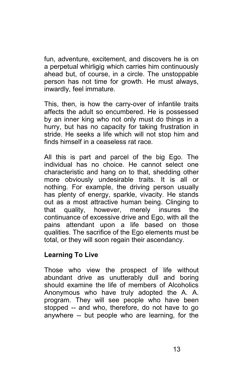fun, adventure, excitement, and discovers he is on a perpetual whirligig which carries him continuously ahead but, of course, in a circle. The unstoppable person has not time for growth. He must always, inwardly, feel immature.

This, then, is how the carry-over of infantile traits affects the adult so encumbered. He is possessed by an inner king who not only must do things in a hurry, but has no capacity for taking frustration in stride. He seeks a life which will not stop him and finds himself in a ceaseless rat race.

All this is part and parcel of the big Ego. The individual has no choice. He cannot select one characteristic and hang on to that, shedding other more obviously undesirable traits. It is all or nothing. For example, the driving person usually has plenty of energy, sparkle, vivacity. He stands out as a most attractive human being. Clinging to that quality, however, merely insures the continuance of excessive drive and Ego, with all the pains attendant upon a life based on those qualities. The sacrifice of the Ego elements must be total, or they will soon regain their ascendancy.

#### **Learning To Live**

Those who view the prospect of life without abundant drive as unutterably dull and boring should examine the life of members of Alcoholics Anonymous who have truly adopted the A. A. program. They will see people who have been stopped -- and who, therefore, do not have to go anywhere -- but people who are learning, for the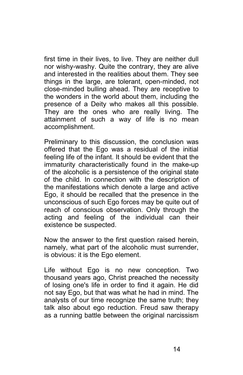first time in their lives, to live. They are neither dull nor wishy-washy. Quite the contrary, they are alive and interested in the realities about them. They see things in the large, are tolerant, open-minded, not close-minded bulling ahead. They are receptive to the wonders in the world about them, including the presence of a Deity who makes all this possible. They are the ones who are really living. The attainment of such a way of life is no mean accomplishment.

Preliminary to this discussion, the conclusion was offered that the Ego was a residual of the initial feeling life of the infant. It should be evident that the immaturity characteristically found in the make-up of the alcoholic is a persistence of the original state of the child. In connection with the description of the manifestations which denote a large and active Ego, it should be recalled that the presence in the unconscious of such Ego forces may be quite out of reach of conscious observation. Only through the acting and feeling of the individual can their existence be suspected.

Now the answer to the first question raised herein, namely, what part of the alcoholic must surrender, is obvious: it is the Ego element.

Life without Ego is no new conception. Two thousand years ago, Christ preached the necessity of losing one's life in order to find it again. He did not say Ego, but that was what he had in mind. The analysts of our time recognize the same truth; they talk also about ego reduction. Freud saw therapy as a running battle between the original narcissism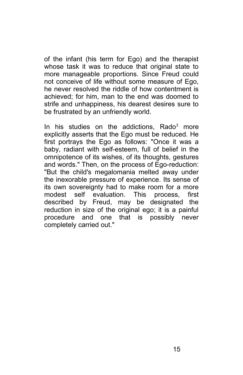of the infant (his term for Ego) and the therapist whose task it was to reduce that original state to more manageable proportions. Since Freud could not conceive of life without some measure of Ego, he never resolved the riddle of how contentment is achieved; for him, man to the end was doomed to strife and unhappiness, his dearest desires sure to be frustrated by an unfriendly world.

In his studies on the addictions, Rado<sup>3</sup> more explicitly asserts that the Ego must be reduced. He first portrays the Ego as follows: "Once it was a baby, radiant with self-esteem, full of belief in the omnipotence of its wishes, of its thoughts, gestures and words." Then, on the process of Ego-reduction: "But the child's megalomania melted away under the inexorable pressure of experience. Its sense of its own sovereignty had to make room for a more modest self evaluation. This process, first described by Freud, may be designated the reduction in size of the original ego; it is a painful procedure and one that is possibly never completely carried out."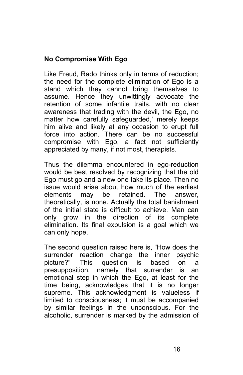## **No Compromise With Ego**

Like Freud, Rado thinks only in terms of reduction; the need for the complete elimination of Ego is a stand which they cannot bring themselves to assume. Hence they unwittingly advocate the retention of some infantile traits, with no clear awareness that trading with the devil, the Ego, no matter how carefully safeguarded,' merely keeps him alive and likely at any occasion to erupt full force into action. There can be no successful compromise with Ego, a fact not sufficiently appreciated by many, if not most, therapists.

Thus the dilemma encountered in ego-reduction would be best resolved by recognizing that the old Ego must go and a new one take its place. Then no issue would arise about how much of the earliest elements may be retained. The answer, theoretically, is none. Actually the total banishment of the initial state is difficult to achieve. Man can only grow in the direction of its complete elimination. Its final expulsion is a goal which we can only hope.

The second question raised here is, "How does the surrender reaction change the inner psychic picture?" This question is based on a presupposition, namely that surrender is an emotional step in which the Ego, at least for the time being, acknowledges that it is no longer supreme. This acknowledgment is valueless if limited to consciousness; it must be accompanied by similar feelings in the unconscious. For the alcoholic, surrender is marked by the admission of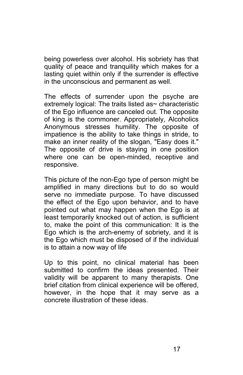being powerless over alcohol. His sobriety has that quality of peace and tranquility which makes for a lasting quiet within only if the surrender is effective in the unconscious and permanent as well.

The effects of surrender upon the psyche are extremely logical: The traits listed as~ characteristic of the Ego influence are canceled out. The opposite of king is the commoner. Appropriately, Alcoholics Anonymous stresses humility. The opposite of impatience is the ability to take things in stride, to make an inner reality of the slogan, "Easy does it." The opposite of drive is staying in one position where one can be open-minded, receptive and responsive.

This picture of the non-Ego type of person might be amplified in many directions but to do so would serve no immediate purpose. To have discussed the effect of the Ego upon behavior, and to have pointed out what may happen when the Ego is at least temporarily knocked out of action, is sufficient to, make the point of this communication: It is the Ego which is the arch-enemy of sobriety, and it is the Ego which must be disposed of if the individual is to attain a now way of life

Up to this point, no clinical material has been submitted to confirm the ideas presented. Their validity will be apparent to many therapists. One brief citation from clinical experience will be offered, however, in the hope that it may serve as a concrete illustration of these ideas.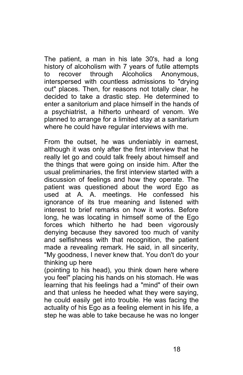The patient, a man in his late 30's, had a long history of alcoholism with 7 years of futile attempts to recover through Alcoholics Anonymous, interspersed with countless admissions to "drying out" places. Then, for reasons not totally clear, he decided to take a drastic step. He determined to enter a sanitorium and place himself in the hands of a psychiatrist, a hitherto unheard of venom. We planned to arrange for a limited stay at a sanitarium where he could have regular interviews with me.

From the outset, he was undeniably in earnest, although it was only after the first interview that he really let go and could talk freely about himself and the things that were going on inside him. After the usual preliminaries, the first interview started with a discussion of feelings and how they operate. The patient was questioned about the word Ego as used at A. A. meetings. He confessed his ignorance of its true meaning and listened with interest to brief remarks on how it works. Before long, he was locating in himself some of the Ego forces which hitherto he had been vigorously denying because they savored too much of vanity and selfishness with that recognition, the patient made a revealing remark. He said, in all sincerity, "My goodness, I never knew that. You don't do your thinking up here

(pointing to his head), you think down here where you feel" placing his hands on his stomach. He was learning that his feelings had a "mind" of their own and that unless he heeded what they were saying, he could easily get into trouble. He was facing the actuality of his Ego as a feeling element in his life, a step he was able to take because he was no longer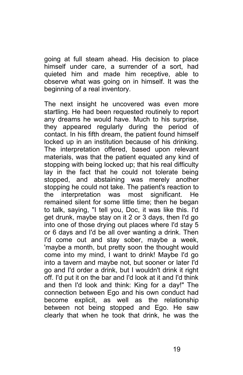going at full steam ahead. His decision to place himself under care, a surrender of a sort, had quieted him and made him receptive, able to observe what was going on in himself. It was the beginning of a real inventory.

The next insight he uncovered was even more startling. He had been requested routinely to report any dreams he would have. Much to his surprise, they appeared regularly during the period of contact. In his fifth dream, the patient found himself locked up in an institution because of his drinking. The interpretation offered, based upon relevant materials, was that the patient equated any kind of stopping with being locked up; that his real difficulty lay in the fact that he could not tolerate being stopped, and abstaining was merely another stopping he could not take. The patient's reaction to the interpretation was most significant. He remained silent for some little time; then he began to talk, saying, "I tell you, Doc, it was like this. I'd get drunk, maybe stay on it 2 or 3 days, then I'd go into one of those drying out places where I'd stay 5 or 6 days and I'd be all over wanting a drink. Then I'd come out and stay sober, maybe a week, 'maybe a month, but pretty soon the thought would come into my mind, I want to drink! Maybe I'd go into a tavern and maybe not, but sooner or later I'd go and I'd order a drink, but I wouldn't drink it right off. I'd put it on the bar and I'd look at it and I'd think and then I'd look and think: King for a day!" The connection between Ego and his own conduct had become explicit, as well as the relationship between not being stopped and Ego. He saw clearly that when he took that drink, he was the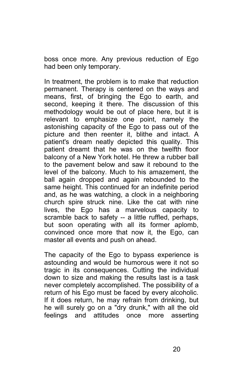boss once more. Any previous reduction of Ego had been only temporary.

In treatment, the problem is to make that reduction permanent. Therapy is centered on the ways and means, first, of bringing the Ego to earth, and second, keeping it there. The discussion of this methodology would be out of place here, but it is relevant to emphasize one point, namely the astonishing capacity of the Ego to pass out of the picture and then reenter it, blithe and intact. A patient's dream neatly depicted this quality. This patient dreamt that he was on the twelfth floor balcony of a New York hotel. He threw a rubber ball to the pavement below and saw it rebound to the level of the balcony. Much to his amazement, the ball again dropped and again rebounded to the same height. This continued for an indefinite period and, as he was watching, a clock in a neighboring church spire struck nine. Like the cat with nine lives, the Ego has a marvelous capacity to scramble back to safety -- a little ruffled, perhaps, but soon operating with all its former aplomb, convinced once more that now it, the Ego, can master all events and push on ahead.

The capacity of the Ego to bypass experience is astounding and would be humorous were it not so tragic in its consequences. Cutting the individual down to size and making the results last is a task never completely accomplished. The possibility of a return of his Ego must be faced by every alcoholic. If it does return, he may refrain from drinking, but he will surely go on a "dry drunk," with all the old feelings and attitudes once more asserting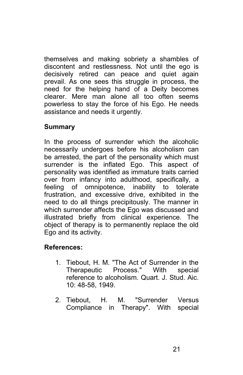themselves and making sobriety a shambles of discontent and restlessness. Not until the ego is decisively retired can peace and quiet again prevail. As one sees this struggle in process, the need for the helping hand of a Deity becomes clearer. Mere man alone all too often seems powerless to stay the force of his Ego. He needs assistance and needs it urgently.

#### **Summary**

In the process of surrender which the alcoholic necessarily undergoes before his alcoholism can be arrested, the part of the personality which must surrender is the inflated Ego. This aspect of personality was identified as immature traits carried over from infancy into adulthood, specifically, a feeling of omnipotence, inability to tolerate frustration, and excessive drive, exhibited in the need to do all things precipitously. The manner in which surrender affects the Ego was discussed and illustrated briefly from clinical experience. The object of therapy is to permanently replace the old Ego and its activity.

## **References:**

- 1. Tiebout, H. M. "The Act of Surrender in the Therapeutic Process." With special reference to alcoholism. Quart. J. Stud. Aic. 10: 48-58, 1949.
- 2. Tiebout, H. M. "Surrender Versus Compliance in Therapy". With special